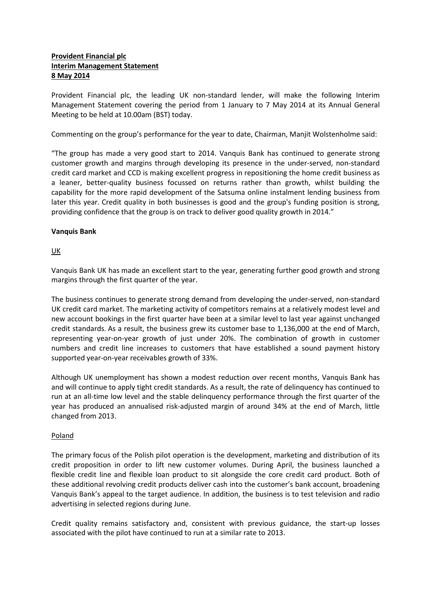# **Provident Financial plc Interim Management Statement 8 May 2014**

Provident Financial plc, the leading UK non-standard lender, will make the following Interim Management Statement covering the period from 1 January to 7 May 2014 at its Annual General Meeting to be held at 10.00am (BST) today.

Commenting on the group's performance for the year to date, Chairman, Manjit Wolstenholme said:

"The group has made a very good start to 2014. Vanquis Bank has continued to generate strong customer growth and margins through developing its presence in the under-served, non-standard credit card market and CCD is making excellent progress in repositioning the home credit business as a leaner, better-quality business focussed on returns rather than growth, whilst building the capability for the more rapid development of the Satsuma online instalment lending business from later this year. Credit quality in both businesses is good and the group's funding position is strong, providing confidence that the group is on track to deliver good quality growth in 2014."

## **Vanquis Bank**

UK

Vanquis Bank UK has made an excellent start to the year, generating further good growth and strong margins through the first quarter of the year.

The business continues to generate strong demand from developing the under-served, non-standard UK credit card market. The marketing activity of competitors remains at a relatively modest level and new account bookings in the first quarter have been at a similar level to last year against unchanged credit standards. As a result, the business grew its customer base to 1,136,000 at the end of March, representing year-on-year growth of just under 20%. The combination of growth in customer numbers and credit line increases to customers that have established a sound payment history supported year-on-year receivables growth of 33%.

Although UK unemployment has shown a modest reduction over recent months, Vanquis Bank has and will continue to apply tight credit standards. As a result, the rate of delinquency has continued to run at an all-time low level and the stable delinquency performance through the first quarter of the year has produced an annualised risk-adjusted margin of around 34% at the end of March, little changed from 2013.

# **Poland**

The primary focus of the Polish pilot operation is the development, marketing and distribution of its credit proposition in order to lift new customer volumes. During April, the business launched a flexible credit line and flexible loan product to sit alongside the core credit card product. Both of these additional revolving credit products deliver cash into the customer's bank account, broadening Vanquis Bank's appeal to the target audience. In addition, the business is to test television and radio advertising in selected regions during June.

Credit quality remains satisfactory and, consistent with previous guidance, the start-up losses associated with the pilot have continued to run at a similar rate to 2013.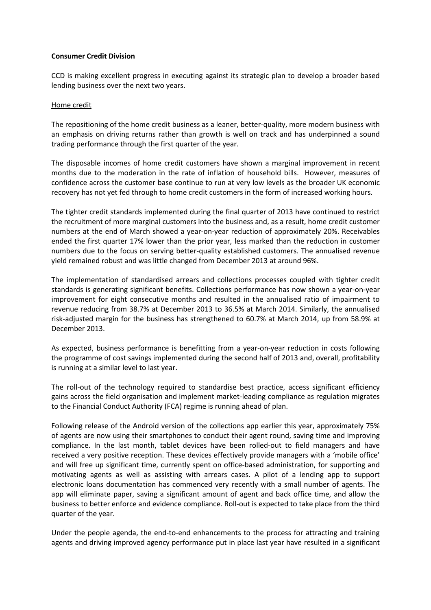## **Consumer Credit Division**

CCD is making excellent progress in executing against its strategic plan to develop a broader based lending business over the next two years.

#### Home credit

The repositioning of the home credit business as a leaner, better-quality, more modern business with an emphasis on driving returns rather than growth is well on track and has underpinned a sound trading performance through the first quarter of the year.

The disposable incomes of home credit customers have shown a marginal improvement in recent months due to the moderation in the rate of inflation of household bills. However, measures of confidence across the customer base continue to run at very low levels as the broader UK economic recovery has not yet fed through to home credit customers in the form of increased working hours.

The tighter credit standards implemented during the final quarter of 2013 have continued to restrict the recruitment of more marginal customers into the business and, as a result, home credit customer numbers at the end of March showed a year-on-year reduction of approximately 20%. Receivables ended the first quarter 17% lower than the prior year, less marked than the reduction in customer numbers due to the focus on serving better-quality established customers. The annualised revenue yield remained robust and was little changed from December 2013 at around 96%.

The implementation of standardised arrears and collections processes coupled with tighter credit standards is generating significant benefits. Collections performance has now shown a year-on-year improvement for eight consecutive months and resulted in the annualised ratio of impairment to revenue reducing from 38.7% at December 2013 to 36.5% at March 2014. Similarly, the annualised risk-adjusted margin for the business has strengthened to 60.7% at March 2014, up from 58.9% at December 2013.

As expected, business performance is benefitting from a year-on-year reduction in costs following the programme of cost savings implemented during the second half of 2013 and, overall, profitability is running at a similar level to last year.

The roll-out of the technology required to standardise best practice, access significant efficiency gains across the field organisation and implement market-leading compliance as regulation migrates to the Financial Conduct Authority (FCA) regime is running ahead of plan.

Following release of the Android version of the collections app earlier this year, approximately 75% of agents are now using their smartphones to conduct their agent round, saving time and improving compliance. In the last month, tablet devices have been rolled-out to field managers and have received a very positive reception. These devices effectively provide managers with a 'mobile office' and will free up significant time, currently spent on office-based administration, for supporting and motivating agents as well as assisting with arrears cases. A pilot of a lending app to support electronic loans documentation has commenced very recently with a small number of agents. The app will eliminate paper, saving a significant amount of agent and back office time, and allow the business to better enforce and evidence compliance. Roll-out is expected to take place from the third quarter of the year.

Under the people agenda, the end-to-end enhancements to the process for attracting and training agents and driving improved agency performance put in place last year have resulted in a significant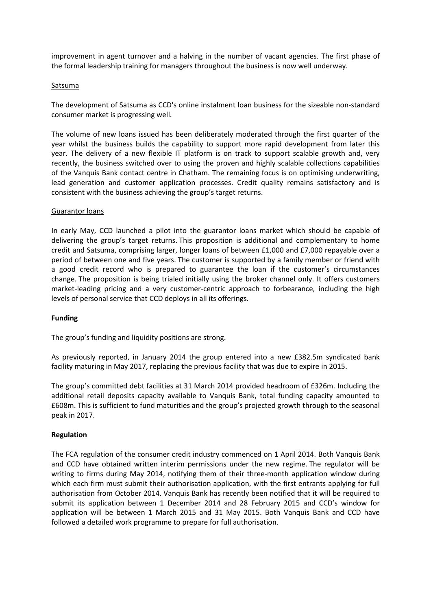improvement in agent turnover and a halving in the number of vacant agencies. The first phase of the formal leadership training for managers throughout the business is now well underway.

### **Satsuma**

The development of Satsuma as CCD's online instalment loan business for the sizeable non-standard consumer market is progressing well.

The volume of new loans issued has been deliberately moderated through the first quarter of the year whilst the business builds the capability to support more rapid development from later this year. The delivery of a new flexible IT platform is on track to support scalable growth and, very recently, the business switched over to using the proven and highly scalable collections capabilities of the Vanquis Bank contact centre in Chatham. The remaining focus is on optimising underwriting, lead generation and customer application processes. Credit quality remains satisfactory and is consistent with the business achieving the group's target returns.

#### Guarantor loans

In early May, CCD launched a pilot into the guarantor loans market which should be capable of delivering the group's target returns. This proposition is additional and complementary to home credit and Satsuma, comprising larger, longer loans of between £1,000 and £7,000 repayable over a period of between one and five years. The customer is supported by a family member or friend with a good credit record who is prepared to guarantee the loan if the customer's circumstances change. The proposition is being trialed initially using the broker channel only. It offers customers market-leading pricing and a very customer-centric approach to forbearance, including the high levels of personal service that CCD deploys in all its offerings.

## **Funding**

The group's funding and liquidity positions are strong.

As previously reported, in January 2014 the group entered into a new £382.5m syndicated bank facility maturing in May 2017, replacing the previous facility that was due to expire in 2015.

The group's committed debt facilities at 31 March 2014 provided headroom of £326m. Including the additional retail deposits capacity available to Vanquis Bank, total funding capacity amounted to £608m. This is sufficient to fund maturities and the group's projected growth through to the seasonal peak in 2017.

## **Regulation**

The FCA regulation of the consumer credit industry commenced on 1 April 2014. Both Vanquis Bank and CCD have obtained written interim permissions under the new regime. The regulator will be writing to firms during May 2014, notifying them of their three-month application window during which each firm must submit their authorisation application, with the first entrants applying for full authorisation from October 2014. Vanquis Bank has recently been notified that it will be required to submit its application between 1 December 2014 and 28 February 2015 and CCD's window for application will be between 1 March 2015 and 31 May 2015. Both Vanquis Bank and CCD have followed a detailed work programme to prepare for full authorisation.